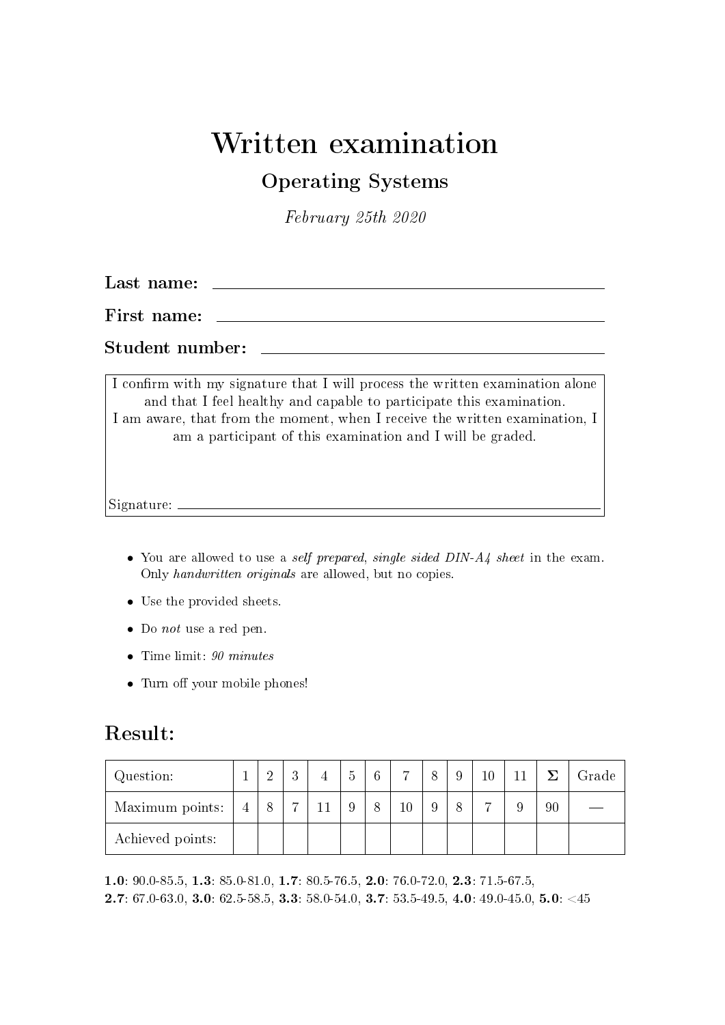#### Written examination

#### Operating Systems

February 25th 2020

Last name:

First name:

Student number:

I confirm with my signature that I will process the written examination alone and that I feel healthy and capable to participate this examination. I am aware, that from the moment, when I receive the written examination, I am a participant of this examination and I will be graded.

Signature:

- You are allowed to use a self prepared, single sided DIN-A4 sheet in the exam. Only handwritten originals are allowed, but no copies.
- Use the provided sheets.
- Do not use a red pen.
- Time limit: 90 minutes
- Turn off your mobile phones!

#### Result:

| Question:        |                | ച | $\Omega$ | ð | 6 | $\overline{ }$ |  |  |    | Grade |
|------------------|----------------|---|----------|---|---|----------------|--|--|----|-------|
| Maximum points:  | $\overline{4}$ |   | ↣        |   |   | $10\,$         |  |  | 90 |       |
| Achieved points: |                |   |          |   |   |                |  |  |    |       |

1.0: 90.0-85.5, 1.3: 85.0-81.0, 1.7: 80.5-76.5, 2.0: 76.0-72.0, 2.3: 71.5-67.5, **2.7**: 67.0-63.0, **3.0**: 62.5-58.5, **3.3**: 58.0-54.0, **3.7**: 53.5-49.5, **4.0**: 49.0-45.0, **5.0**: <45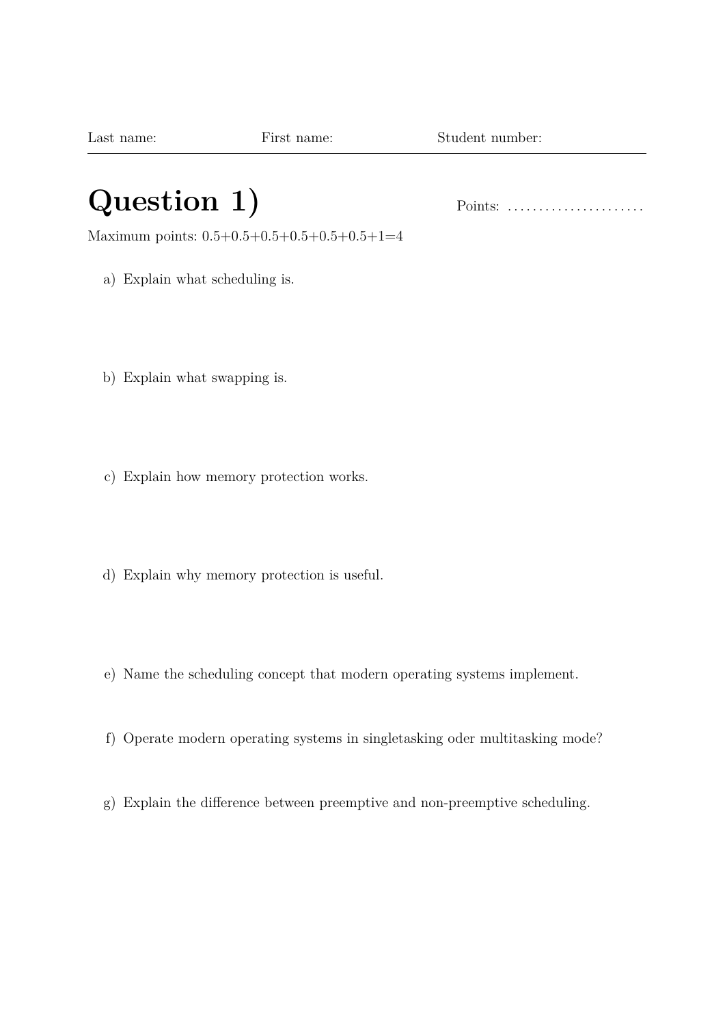## **Question 1)** Points: . . . . . . . . . . . . . . . . . . . . . .

Maximum points: 0.5+0.5+0.5+0.5+0.5+0.5+1=4

- a) Explain what scheduling is.
- b) Explain what swapping is.
- c) Explain how memory protection works.
- d) Explain why memory protection is useful.
- e) Name the scheduling concept that modern operating systems implement.
- f) Operate modern operating systems in singletasking oder multitasking mode?
- g) Explain the difference between preemptive and non-preemptive scheduling.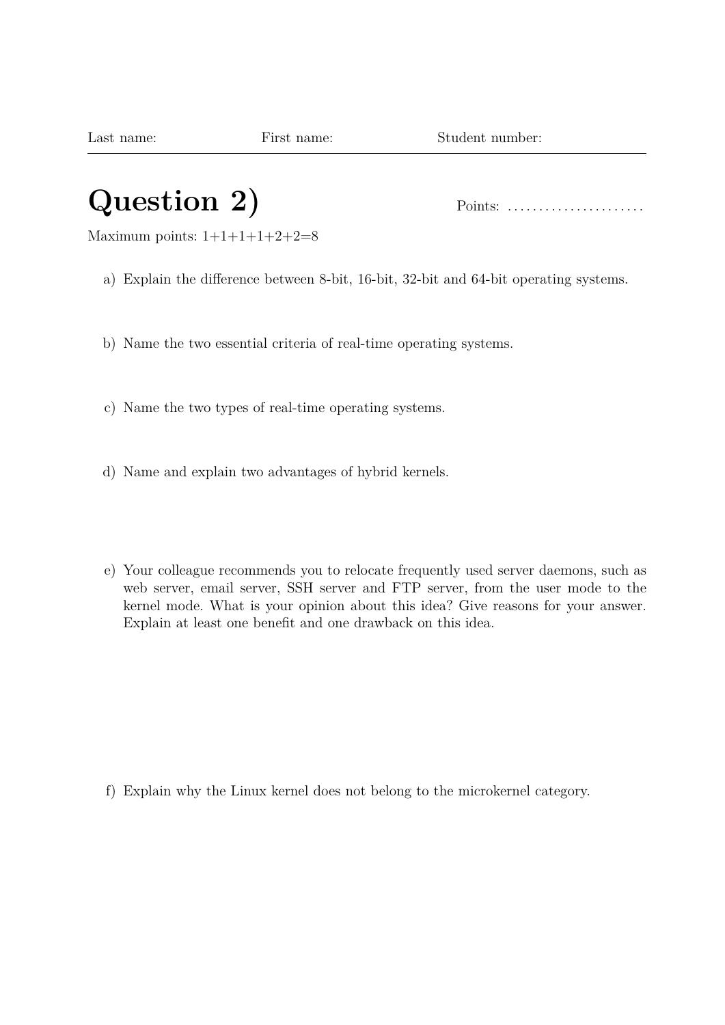Last name: First name: Student number:

### **Question 2)** Points: . . . . . . . . . . . . . . . . . . . . . .

Maximum points:  $1+1+1+1+2+2=8$ 

- a) Explain the difference between 8-bit, 16-bit, 32-bit and 64-bit operating systems.
- b) Name the two essential criteria of real-time operating systems.
- c) Name the two types of real-time operating systems.
- d) Name and explain two advantages of hybrid kernels.
- e) Your colleague recommends you to relocate frequently used server daemons, such as web server, email server, SSH server and FTP server, from the user mode to the kernel mode. What is your opinion about this idea? Give reasons for your answer. Explain at least one benefit and one drawback on this idea.

f) Explain why the Linux kernel does not belong to the microkernel category.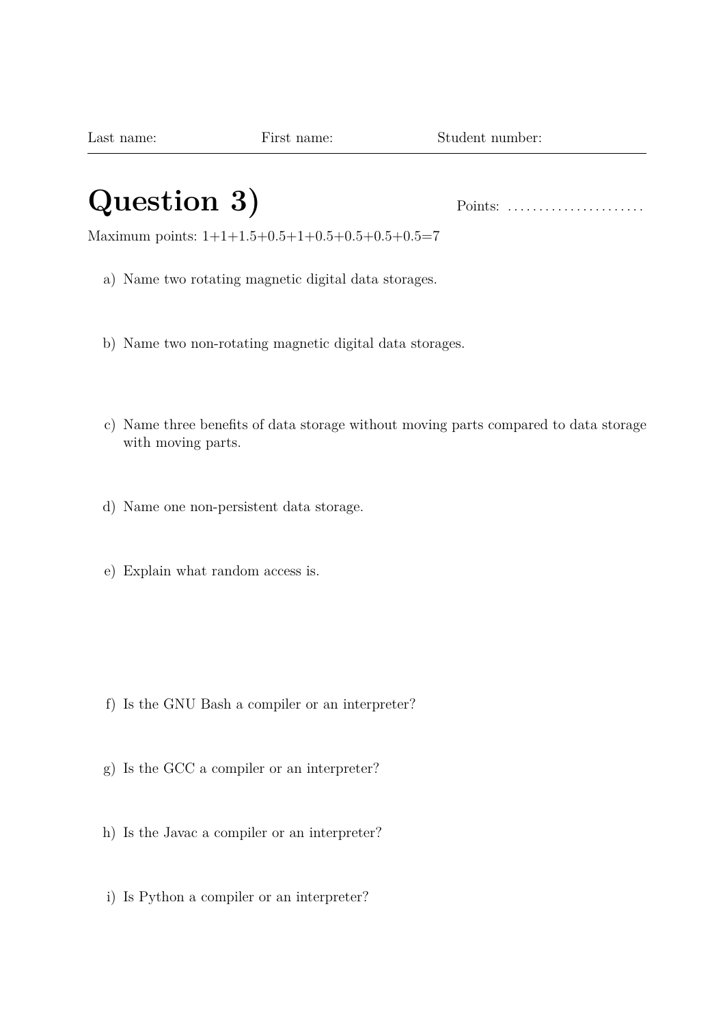### **Question 3)** Points: . . . . . . . . . . . . . . . . . . . . . .

Maximum points: 1+1+1.5+0.5+1+0.5+0.5+0.5+0.5=7

- a) Name two rotating magnetic digital data storages.
- b) Name two non-rotating magnetic digital data storages.
- c) Name three benefits of data storage without moving parts compared to data storage with moving parts.
- d) Name one non-persistent data storage.
- e) Explain what random access is.

- f) Is the GNU Bash a compiler or an interpreter?
- g) Is the GCC a compiler or an interpreter?
- h) Is the Javac a compiler or an interpreter?
- i) Is Python a compiler or an interpreter?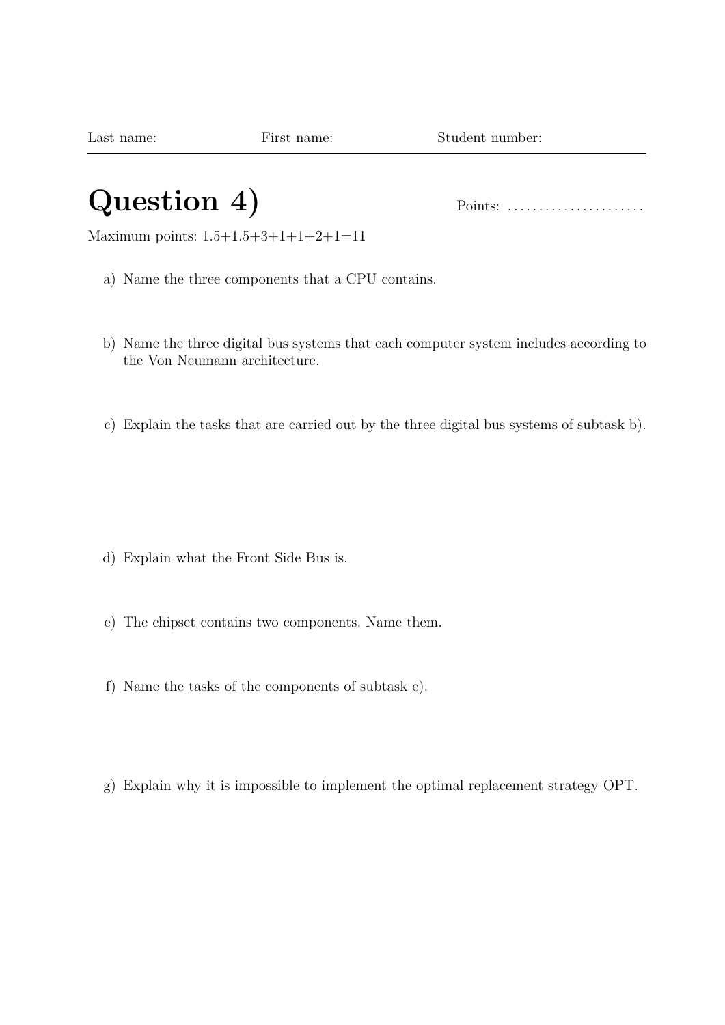#### **Question 4)** Points: . . . . . . . . . . . . . . . . . . . . . .

Maximum points: 1.5+1.5+3+1+1+2+1=11

- a) Name the three components that a CPU contains.
- b) Name the three digital bus systems that each computer system includes according to the Von Neumann architecture.
- c) Explain the tasks that are carried out by the three digital bus systems of subtask b).

- d) Explain what the Front Side Bus is.
- e) The chipset contains two components. Name them.
- f) Name the tasks of the components of subtask e).
- g) Explain why it is impossible to implement the optimal replacement strategy OPT.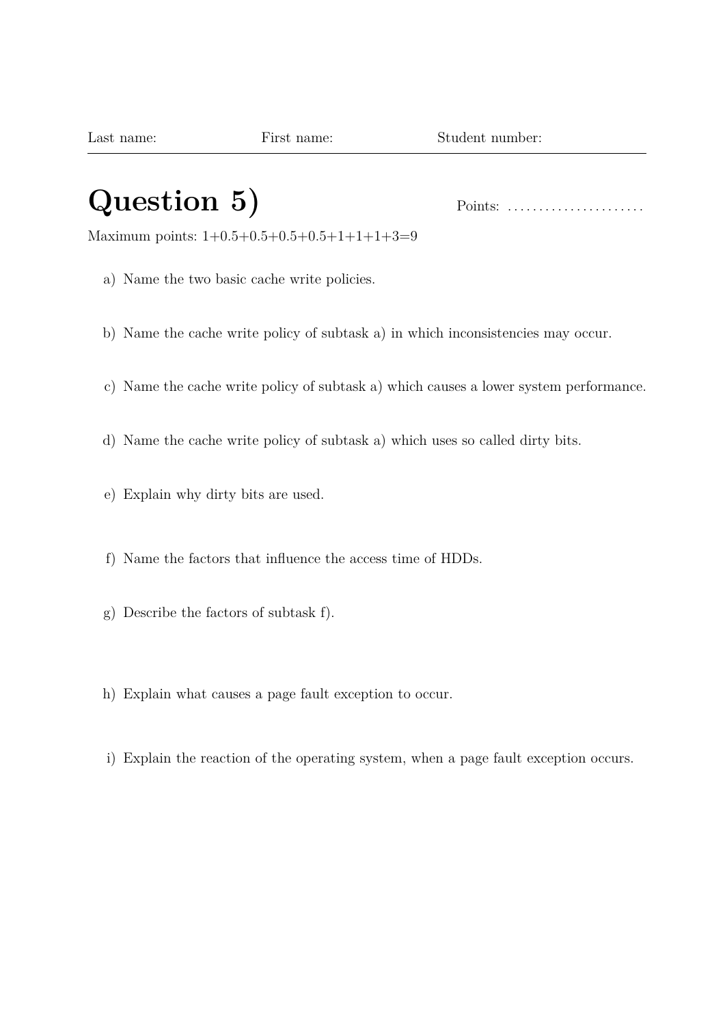### **Question 5)** Points: . . . . . . . . . . . . . . . . . . . . . .

Maximum points: 1+0.5+0.5+0.5+0.5+1+1+1+3=9

- a) Name the two basic cache write policies.
- b) Name the cache write policy of subtask a) in which inconsistencies may occur.
- c) Name the cache write policy of subtask a) which causes a lower system performance.
- d) Name the cache write policy of subtask a) which uses so called dirty bits.
- e) Explain why dirty bits are used.
- f) Name the factors that influence the access time of HDDs.
- g) Describe the factors of subtask f).
- h) Explain what causes a page fault exception to occur.
- i) Explain the reaction of the operating system, when a page fault exception occurs.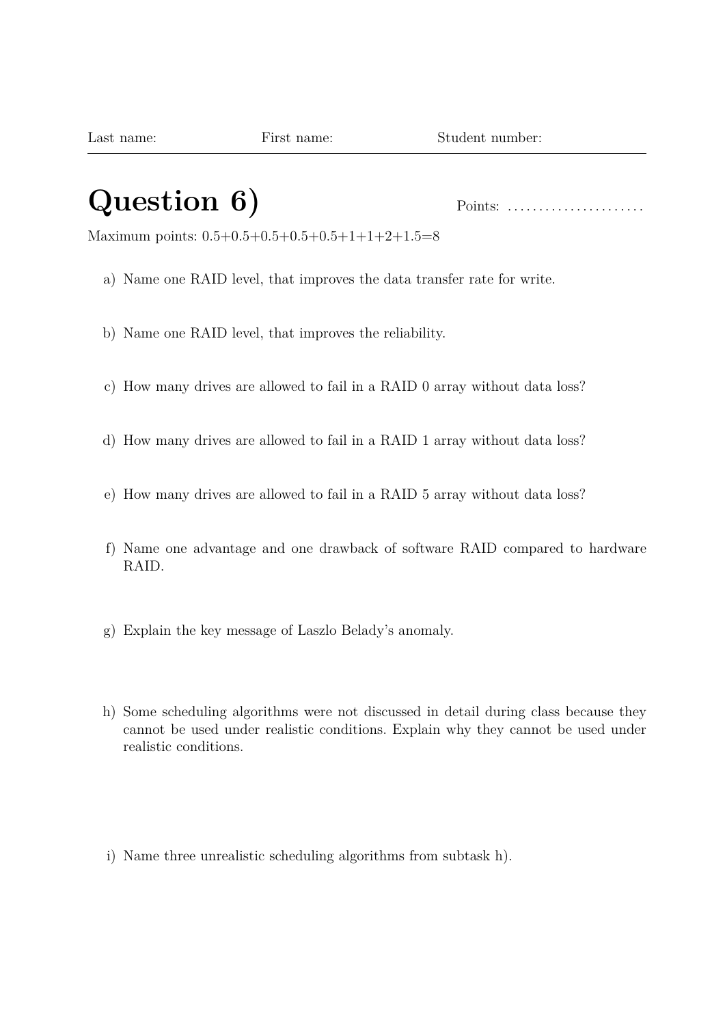## **Question 6)** Points: . . . . . . . . . . . . . . . . . . . . . .

Maximum points: 0.5+0.5+0.5+0.5+0.5+1+1+2+1.5=8

- a) Name one RAID level, that improves the data transfer rate for write.
- b) Name one RAID level, that improves the reliability.
- c) How many drives are allowed to fail in a RAID 0 array without data loss?
- d) How many drives are allowed to fail in a RAID 1 array without data loss?
- e) How many drives are allowed to fail in a RAID 5 array without data loss?
- f) Name one advantage and one drawback of software RAID compared to hardware RAID.
- g) Explain the key message of Laszlo Belady's anomaly.
- h) Some scheduling algorithms were not discussed in detail during class because they cannot be used under realistic conditions. Explain why they cannot be used under realistic conditions.
- i) Name three unrealistic scheduling algorithms from subtask h).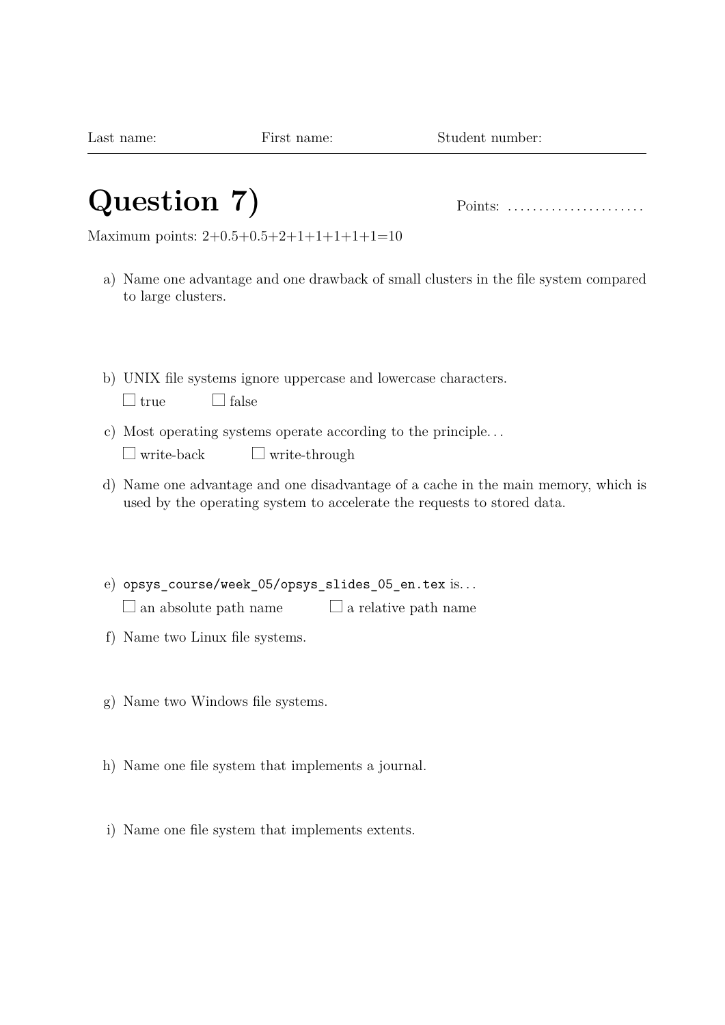## **Question 7)** Points: . . . . . . . . . . . . . . . . . . . . . .

Maximum points: 2+0.5+0.5+2+1+1+1+1+1=10

- a) Name one advantage and one drawback of small clusters in the file system compared to large clusters.
- b) UNIX file systems ignore uppercase and lowercase characters.

| – true |  | – false |
|--------|--|---------|
|--------|--|---------|

- c) Most operating systems operate according to the principle. . .
	- $\Box$  write-back  $\Box$  write-through
- d) Name one advantage and one disadvantage of a cache in the main memory, which is used by the operating system to accelerate the requests to stored data.
- e) opsys\_course/week\_05/opsys\_slides\_05\_en.tex is. . .  $\Box$  an absolute path name  $\Box$  a relative path name
- f) Name two Linux file systems.
- g) Name two Windows file systems.
- h) Name one file system that implements a journal.
- i) Name one file system that implements extents.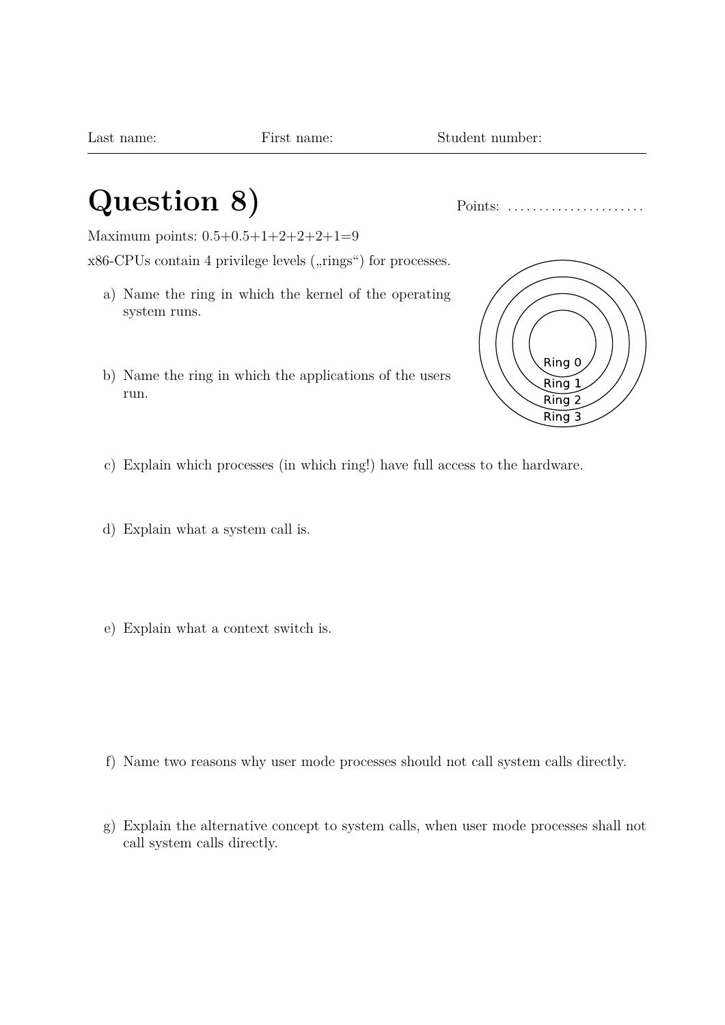## **Question 8)** Points: . . . . . . . . . . . . . . . . . . . . . .

Maximum points: 0.5+0.5+1+2+2+2+1=9  $x86$ -CPUs contain 4 privilege levels  $($ "rings") for processes.

- a) Name the ring in which the kernel of the operating system runs.
- b) Name the ring in which the applications of the users run.



- c) Explain which processes (in which ring!) have full access to the hardware.
- d) Explain what a system call is.
- e) Explain what a context switch is.

- f) Name two reasons why user mode processes should not call system calls directly.
- g) Explain the alternative concept to system calls, when user mode processes shall not call system calls directly.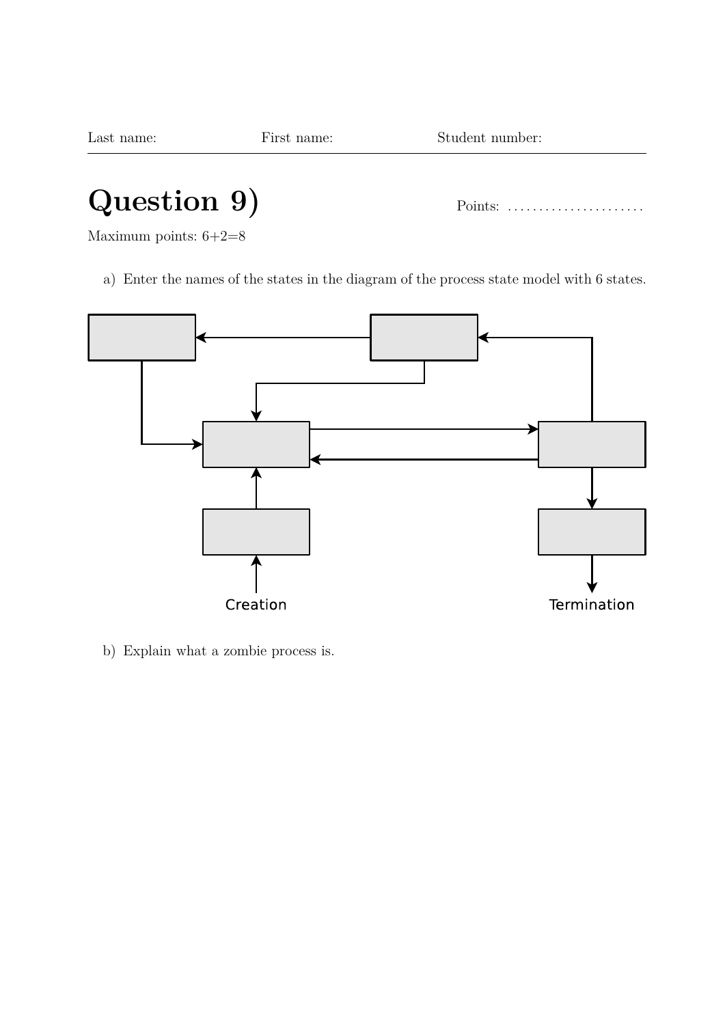# **Question 9)** Points: . . . . . . . . . . . . . . . . . . . . . .

Maximum points: 6+2=8

a) Enter the names of the states in the diagram of the process state model with 6 states.



b) Explain what a zombie process is.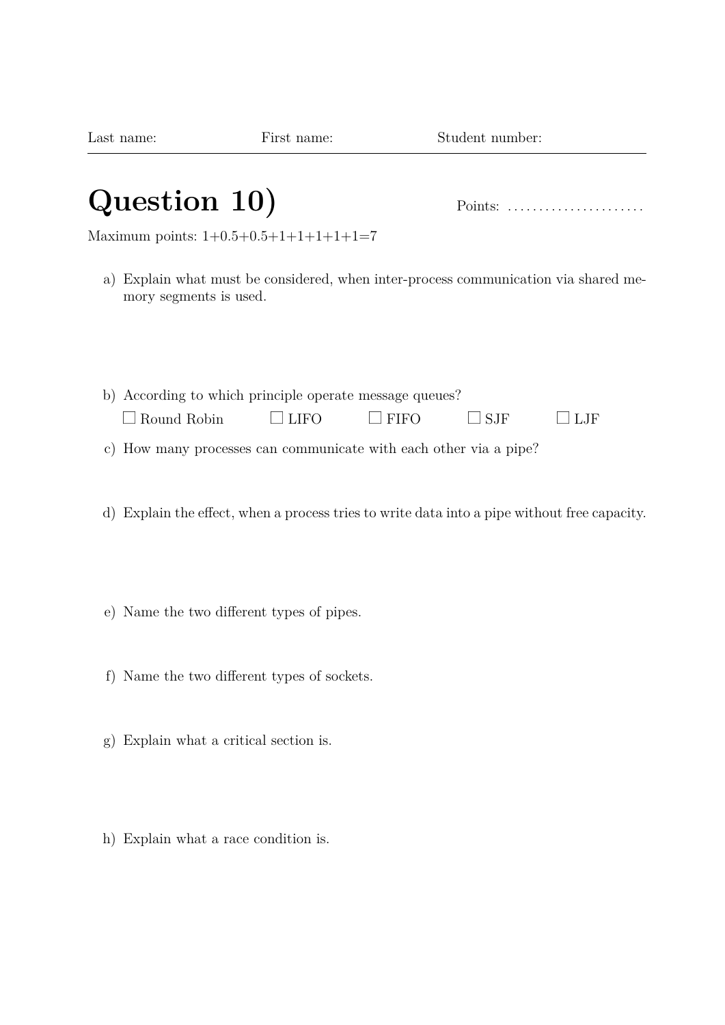## **Question 10)** Points: . . . . . . . . . . . . . . . . . . . . . .

Maximum points:  $1+0.5+0.5+1+1+1+1+1=7$ 

- a) Explain what must be considered, when inter-process communication via shared memory segments is used.
- b) According to which principle operate message queues?  $\Box$  Round Robin  $\Box$  LIFO  $\Box$  FIFO  $\Box$  SJF  $\Box$  LJF
- c) How many processes can communicate with each other via a pipe?
- d) Explain the effect, when a process tries to write data into a pipe without free capacity.
- e) Name the two different types of pipes.
- f) Name the two different types of sockets.
- g) Explain what a critical section is.
- h) Explain what a race condition is.